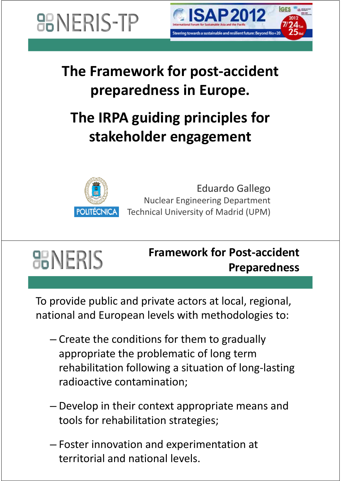**BONERIS-TP** 



### **The Framework for post‐accident preparedness in Europe.**

### **The IRPA guiding principles for st k h ld takeholder engagement**



Eduardo Gallego Nuclear Engineering Department Technical University of Madrid (UPM)

### **HERIS**

#### **Framework for Post‐accident Preparedness**

To provide public and private actors at local, regional, national and European levels with methodologies to:

- Create the conditions for them to gradually appropriate the problematic of long term rehabilitation following a situation of long‐lasting radioactive contamination;
- Develop in their context appropriate means and tools for rehabilitation strategies;
- Foster innovation and experimentation at territorial and national levels.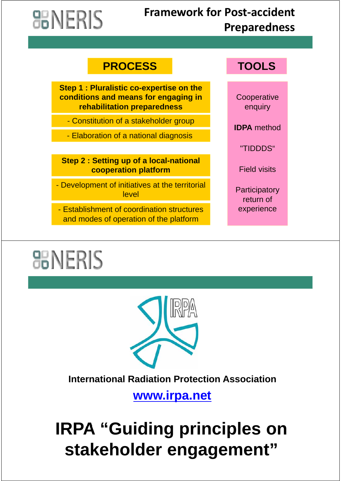# **HERIS**

#### **Framework for Post‐accident Preparedness**

#### **PROCESS TOOLS**

**Step 1 : Pluralistic co-expertise on the conditions and means for engaging in rehabilitation preparedness and the enquiry** 

- Constitution of a stakeholder group

- Elaboration of a national diagnosis

**Step 2 : Setting up of a local national Step <sup>2</sup> : Setting up of <sup>a</sup> local-nationalcooperation platform**

- Development of initiatives at the territorial Development of initiatives at the **level** Participatory

- Establishment of coordination structures experience and modes of operation of the platform

**Cooperative** 

**IDPA** method

"TIDDDS"

Field visits

return of

### **BINERIS**



#### **International Radiation Protection Association**

**www.irpa.net** 

### **IRPA "Guiding principles on IRPA "Guiding principles stakeholder engagement stakeholder engagement"**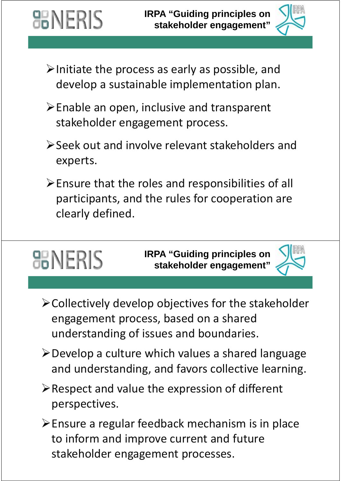

- $\triangleright$  Initiate the process as early as possible, and develop a sustainable implementation plan.
- $\triangleright$  Enable an open, inclusive and transparent stakeholder engagement process.
- Seek out and involve relevant stakeholders and experts.
- $\triangleright$  Ensure that the roles and responsibilities of all participants, and the rules for cooperation are clearly defined.

## **BINERIS**

**器NERIS** 

**IRPA "Guiding principles on sta e o de e gage e t keholder engagement"**



- $\triangleright$  Collectively develop objectives for the stakeholder engagement process, based on a shared understanding of issues and boundaries.
- $\triangleright$  Develop a culture which values a shared language and understanding, and favors collective learning.
- $\triangleright$  Respect and value the expression of different perspectives.
- Ensure a regular feedback mechanism is in place to inform and improve current and future stakeholder engagement processes.